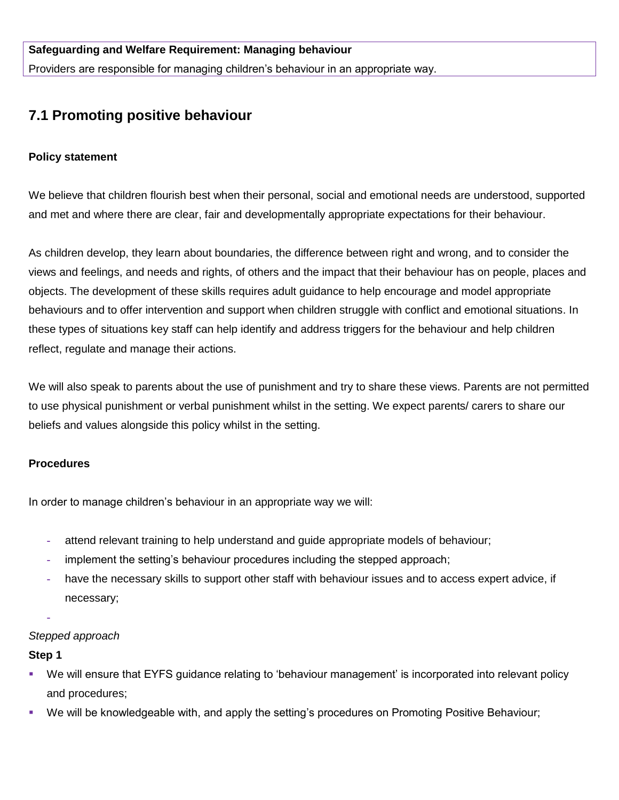Providers are responsible for managing children's behaviour in an appropriate way.

# **7.1 Promoting positive behaviour**

#### **Policy statement**

We believe that children flourish best when their personal, social and emotional needs are understood, supported and met and where there are clear, fair and developmentally appropriate expectations for their behaviour.

As children develop, they learn about boundaries, the difference between right and wrong, and to consider the views and feelings, and needs and rights, of others and the impact that their behaviour has on people, places and objects. The development of these skills requires adult guidance to help encourage and model appropriate behaviours and to offer intervention and support when children struggle with conflict and emotional situations. In these types of situations key staff can help identify and address triggers for the behaviour and help children reflect, regulate and manage their actions.

We will also speak to parents about the use of punishment and try to share these views. Parents are not permitted to use physical punishment or verbal punishment whilst in the setting. We expect parents/ carers to share our beliefs and values alongside this policy whilst in the setting.

#### **Procedures**

In order to manage children's behaviour in an appropriate way we will:

- **-** attend relevant training to help understand and guide appropriate models of behaviour;
- **-** implement the setting's behaviour procedures including the stepped approach;
- **-** have the necessary skills to support other staff with behaviour issues and to access expert advice, if necessary;

## *Stepped approach*

#### **Step 1**

**-**

- We will ensure that EYFS guidance relating to 'behaviour management' is incorporated into relevant policy and procedures;
- We will be knowledgeable with, and apply the setting's procedures on Promoting Positive Behaviour;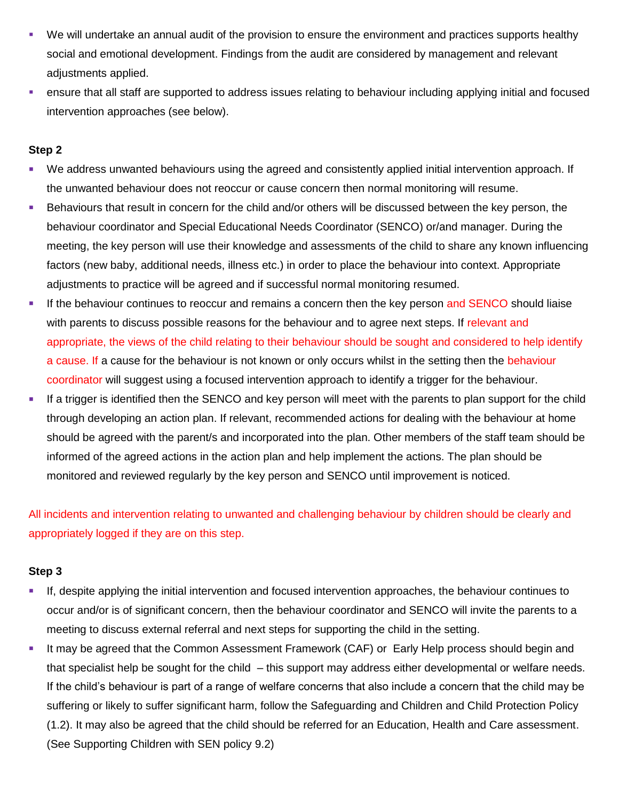- We will undertake an annual audit of the provision to ensure the environment and practices supports healthy social and emotional development. Findings from the audit are considered by management and relevant adiustments applied.
- ensure that all staff are supported to address issues relating to behaviour including applying initial and focused intervention approaches (see below).

#### **Step 2**

- We address unwanted behaviours using the agreed and consistently applied initial intervention approach. If the unwanted behaviour does not reoccur or cause concern then normal monitoring will resume.
- Behaviours that result in concern for the child and/or others will be discussed between the key person, the behaviour coordinator and Special Educational Needs Coordinator (SENCO) or/and manager. During the meeting, the key person will use their knowledge and assessments of the child to share any known influencing factors (new baby, additional needs, illness etc.) in order to place the behaviour into context. Appropriate adjustments to practice will be agreed and if successful normal monitoring resumed.
- If the behaviour continues to reoccur and remains a concern then the key person and SENCO should liaise with parents to discuss possible reasons for the behaviour and to agree next steps. If relevant and appropriate, the views of the child relating to their behaviour should be sought and considered to help identify a cause. If a cause for the behaviour is not known or only occurs whilst in the setting then the behaviour coordinator will suggest using a focused intervention approach to identify a trigger for the behaviour.
- If a trigger is identified then the SENCO and key person will meet with the parents to plan support for the child through developing an action plan. If relevant, recommended actions for dealing with the behaviour at home should be agreed with the parent/s and incorporated into the plan. Other members of the staff team should be informed of the agreed actions in the action plan and help implement the actions. The plan should be monitored and reviewed regularly by the key person and SENCO until improvement is noticed.

All incidents and intervention relating to unwanted and challenging behaviour by children should be clearly and appropriately logged if they are on this step.

## **Step 3**

- If, despite applying the initial intervention and focused intervention approaches, the behaviour continues to occur and/or is of significant concern, then the behaviour coordinator and SENCO will invite the parents to a meeting to discuss external referral and next steps for supporting the child in the setting.
- It may be agreed that the Common Assessment Framework (CAF) or Early Help process should begin and that specialist help be sought for the child – this support may address either developmental or welfare needs. If the child's behaviour is part of a range of welfare concerns that also include a concern that the child may be suffering or likely to suffer significant harm, follow the Safeguarding and Children and Child Protection Policy (1.2). It may also be agreed that the child should be referred for an Education, Health and Care assessment. (See Supporting Children with SEN policy 9.2)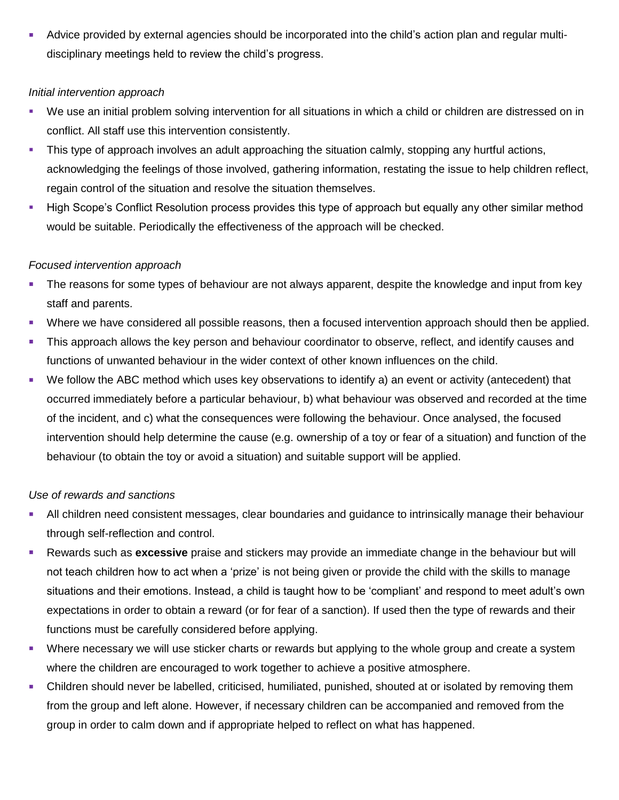Advice provided by external agencies should be incorporated into the child's action plan and regular multidisciplinary meetings held to review the child's progress.

#### *Initial intervention approach*

- We use an initial problem solving intervention for all situations in which a child or children are distressed on in conflict. All staff use this intervention consistently.
- This type of approach involves an adult approaching the situation calmly, stopping any hurtful actions, acknowledging the feelings of those involved, gathering information, restating the issue to help children reflect, regain control of the situation and resolve the situation themselves.
- High Scope's Conflict Resolution process provides this type of approach but equally any other similar method would be suitable. Periodically the effectiveness of the approach will be checked.

## *Focused intervention approach*

- The reasons for some types of behaviour are not always apparent, despite the knowledge and input from key staff and parents.
- Where we have considered all possible reasons, then a focused intervention approach should then be applied.
- This approach allows the key person and behaviour coordinator to observe, reflect, and identify causes and functions of unwanted behaviour in the wider context of other known influences on the child.
- We follow the ABC method which uses key observations to identify a) an event or activity (antecedent) that occurred immediately before a particular behaviour, b) what behaviour was observed and recorded at the time of the incident, and c) what the consequences were following the behaviour. Once analysed, the focused intervention should help determine the cause (e.g. ownership of a toy or fear of a situation) and function of the behaviour (to obtain the toy or avoid a situation) and suitable support will be applied.

## *Use of rewards and sanctions*

- All children need consistent messages, clear boundaries and guidance to intrinsically manage their behaviour through self-reflection and control.
- Rewards such as **excessive** praise and stickers may provide an immediate change in the behaviour but will not teach children how to act when a 'prize' is not being given or provide the child with the skills to manage situations and their emotions. Instead, a child is taught how to be 'compliant' and respond to meet adult's own expectations in order to obtain a reward (or for fear of a sanction). If used then the type of rewards and their functions must be carefully considered before applying.
- Where necessary we will use sticker charts or rewards but applying to the whole group and create a system where the children are encouraged to work together to achieve a positive atmosphere.
- Children should never be labelled, criticised, humiliated, punished, shouted at or isolated by removing them from the group and left alone. However, if necessary children can be accompanied and removed from the group in order to calm down and if appropriate helped to reflect on what has happened.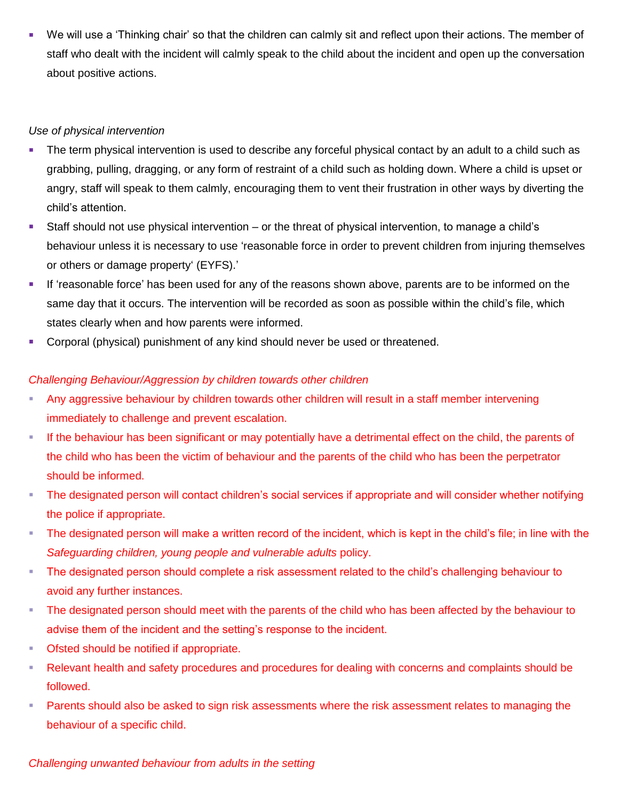We will use a 'Thinking chair' so that the children can calmly sit and reflect upon their actions. The member of staff who dealt with the incident will calmly speak to the child about the incident and open up the conversation about positive actions.

## *Use of physical intervention*

- The term physical intervention is used to describe any forceful physical contact by an adult to a child such as grabbing, pulling, dragging, or any form of restraint of a child such as holding down. Where a child is upset or angry, staff will speak to them calmly, encouraging them to vent their frustration in other ways by diverting the child's attention.
- Staff should not use physical intervention or the threat of physical intervention, to manage a child's behaviour unless it is necessary to use 'reasonable force in order to prevent children from injuring themselves or others or damage property' (EYFS).'
- If 'reasonable force' has been used for any of the reasons shown above, parents are to be informed on the same day that it occurs. The intervention will be recorded as soon as possible within the child's file, which states clearly when and how parents were informed.
- Corporal (physical) punishment of any kind should never be used or threatened.

## *Challenging Behaviour/Aggression by children towards other children*

- Any aggressive behaviour by children towards other children will result in a staff member intervening immediately to challenge and prevent escalation.
- If the behaviour has been significant or may potentially have a detrimental effect on the child, the parents of the child who has been the victim of behaviour and the parents of the child who has been the perpetrator should be informed.
- The designated person will contact children's social services if appropriate and will consider whether notifying the police if appropriate.
- The designated person will make a written record of the incident, which is kept in the child's file; in line with the *Safeguarding children, young people and vulnerable adults* policy.
- **The designated person should complete a risk assessment related to the child's challenging behaviour to** avoid any further instances.
- The designated person should meet with the parents of the child who has been affected by the behaviour to advise them of the incident and the setting's response to the incident.
- **Ofsted should be notified if appropriate.**
- Relevant health and safety procedures and procedures for dealing with concerns and complaints should be followed.
- **Parents should also be asked to sign risk assessments where the risk assessment relates to managing the** behaviour of a specific child.

## *Challenging unwanted behaviour from adults in the setting*